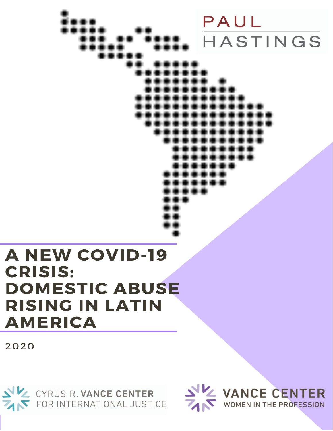PAUL HASTINGS

# **A NEW COVID-19 CRISIS: DOMESTIC ABUSE RISING IN LATIN AMERICA**

2020



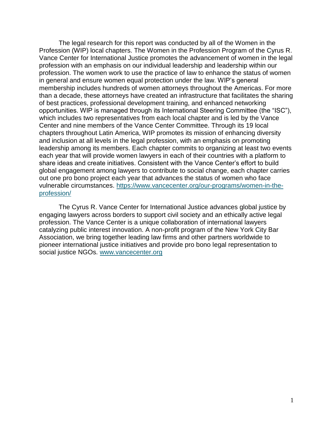The legal research for this report was conducted by all of the Women in the Profession (WIP) local chapters. The Women in the Profession Program of the Cyrus R. Vance Center for International Justice promotes the advancement of women in the legal profession with an emphasis on our individual leadership and leadership within our profession. The women work to use the practice of law to enhance the status of women in general and ensure women equal protection under the law. WIP's general membership includes hundreds of women attorneys throughout the Americas. For more than a decade, these attorneys have created an infrastructure that facilitates the sharing of best practices, professional development training, and enhanced networking opportunities. WIP is managed through its International Steering Committee (the "ISC"), which includes two representatives from each local chapter and is led by the Vance Center and nine members of the Vance Center Committee. Through its 19 local chapters throughout Latin America, WIP promotes its mission of enhancing diversity and inclusion at all levels in the legal profession, with an emphasis on promoting leadership among its members. Each chapter commits to organizing at least two events each year that will provide women lawyers in each of their countries with a platform to share ideas and create initiatives. Consistent with the Vance Center's effort to build global engagement among lawyers to contribute to social change, each chapter carries out one pro bono project each year that advances the status of women who face vulnerable circumstances. [https://www.vancecenter.org/our-programs/women-in-the](https://www.vancecenter.org/our-programs/women-in-the-profession/)[profession/](https://www.vancecenter.org/our-programs/women-in-the-profession/)

The Cyrus R. Vance Center for International Justice advances global justice by engaging lawyers across borders to support civil society and an ethically active legal profession. The Vance Center is a unique collaboration of international lawyers catalyzing public interest innovation. A non-profit program of the New York City Bar Association, we bring together leading law firms and other partners worldwide to pioneer international justice initiatives and provide pro bono legal representation to social justice NGOs. [www.vancecenter.org](file://///hercules-4/secure/VC/Program%20Work/WIP/www.vancecenter.org)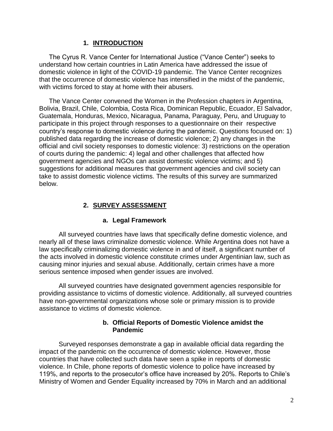# **1. INTRODUCTION**

The Cyrus R. Vance Center for International Justice ("Vance Center") seeks to understand how certain countries in Latin America have addressed the issue of domestic violence in light of the COVID-19 pandemic. The Vance Center recognizes that the occurrence of domestic violence has intensified in the midst of the pandemic, with victims forced to stay at home with their abusers.

The Vance Center convened the Women in the Profession chapters in Argentina, Bolivia, Brazil, Chile, Colombia, Costa Rica, Dominican Republic, Ecuador, El Salvador, Guatemala, Honduras, Mexico, Nicaragua, Panama, Paraguay, Peru, and Uruguay to participate in this project through responses to a questionnaire on their respective country's response to domestic violence during the pandemic. Questions focused on: 1) published data regarding the increase of domestic violence; 2) any changes in the official and civil society responses to domestic violence: 3) restrictions on the operation of courts during the pandemic: 4) legal and other challenges that affected how government agencies and NGOs can assist domestic violence victims; and 5) suggestions for additional measures that government agencies and civil society can take to assist domestic violence victims. The results of this survey are summarized below.

# **2. SURVEY ASSESSMENT**

# **a. Legal Framework**

All surveyed countries have laws that specifically define domestic violence, and nearly all of these laws criminalize domestic violence. While Argentina does not have a law specifically criminalizing domestic violence in and of itself, a significant number of the acts involved in domestic violence constitute crimes under Argentinian law, such as causing minor injuries and sexual abuse. Additionally, certain crimes have a more serious sentence imposed when gender issues are involved.

All surveyed countries have designated government agencies responsible for providing assistance to victims of domestic violence. Additionally, all surveyed countries have non-governmental organizations whose sole or primary mission is to provide assistance to victims of domestic violence.

# **b. Official Reports of Domestic Violence amidst the Pandemic**

Surveyed responses demonstrate a gap in available official data regarding the impact of the pandemic on the occurrence of domestic violence. However, those countries that have collected such data have seen a spike in reports of domestic violence. In Chile, phone reports of domestic violence to police have increased by 119%, and reports to the prosecutor's office have increased by 20%. Reports to Chile's Ministry of Women and Gender Equality increased by 70% in March and an additional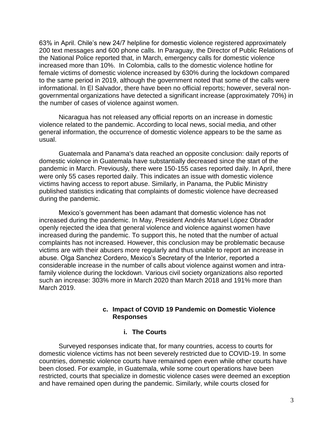63% in April. Chile's new 24/7 helpline for domestic violence registered approximately 200 text messages and 600 phone calls. In Paraguay, the Director of Public Relations of the National Police reported that, in March, emergency calls for domestic violence increased more than 10%. In Colombia, calls to the domestic violence hotline for female victims of domestic violence increased by 630% during the lockdown compared to the same period in 2019, although the government noted that some of the calls were informational. In El Salvador, there have been no official reports; however, several nongovernmental organizations have detected a significant increase (approximately 70%) in the number of cases of violence against women.

Nicaragua has not released any official reports on an increase in domestic violence related to the pandemic. According to local news, social media, and other general information, the occurrence of domestic violence appears to be the same as usual.

Guatemala and Panama's data reached an opposite conclusion: daily reports of domestic violence in Guatemala have substantially decreased since the start of the pandemic in March. Previously, there were 150-155 cases reported daily. In April, there were only 55 cases reported daily. This indicates an issue with domestic violence victims having access to report abuse. Similarly, in Panama, the Public Ministry published statistics indicating that complaints of domestic violence have decreased during the pandemic.

Mexico's government has been adamant that domestic violence has not increased during the pandemic. In May, President Andrés Manuel López Obrador openly rejected the idea that general violence and violence against women have increased during the pandemic. To support this, he noted that the number of actual complaints has not increased. However, this conclusion may be problematic because victims are with their abusers more regularly and thus unable to report an increase in abuse. Olga Sanchez Cordero, Mexico's Secretary of the Interior, reported a considerable increase in the number of calls about violence against women and intrafamily violence during the lockdown. Various civil society organizations also reported such an increase: 303% more in March 2020 than March 2018 and 191% more than March 2019.

## **c. Impact of COVID 19 Pandemic on Domestic Violence Responses**

#### **i. The Courts**

Surveyed responses indicate that, for many countries, access to courts for domestic violence victims has not been severely restricted due to COVID-19. In some countries, domestic violence courts have remained open even while other courts have been closed. For example, in Guatemala, while some court operations have been restricted, courts that specialize in domestic violence cases were deemed an exception and have remained open during the pandemic. Similarly, while courts closed for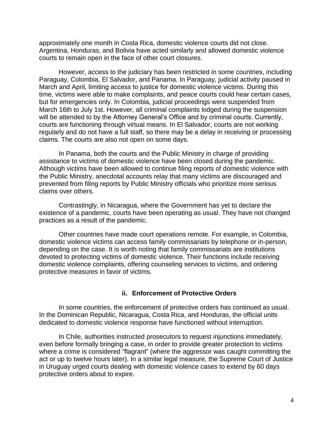approximately one month in Costa Rica, domestic violence courts did not close. Argentina, Honduras, and Bolivia have acted similarly and allowed domestic violence courts to remain open in the face of other court closures.

However, access to the judiciary has been restricted in some countries, including Paraguay, Colombia, El Salvador, and Panama. In Paraguay, judicial activity paused in March and April, limiting access to justice for domestic violence victims. During this time, victims were able to make complaints, and peace courts could hear certain cases, but for emergencies only. In Colombia, judicial proceedings were suspended from March 16th to July 1st. However, all criminal complaints lodged during the suspension will be attended to by the Attorney General's Office and by criminal courts. Currently, courts are functioning through virtual means. In El Salvador, courts are not working regularly and do not have a full staff, so there may be a delay in receiving or processing claims. The courts are also not open on some days.

In Panama, both the courts and the Public Ministry in charge of providing assistance to victims of domestic violence have been closed during the pandemic. Although victims have been allowed to continue filing reports of domestic violence with the Public Ministry, anecdotal accounts relay that many victims are discouraged and prevented from filing reports by Public Ministry officials who prioritize more serious claims over others.

Contrastingly, in Nicaragua, where the Government has yet to declare the existence of a pandemic, courts have been operating as usual. They have not changed practices as a result of the pandemic.

Other countries have made court operations remote. For example, in Colombia, domestic violence victims can access family commissariats by telephone or in-person, depending on the case. It is worth noting that family commissariats are institutions devoted to protecting victims of domestic violence. Their functions include receiving domestic violence complaints, offering counseling services to victims, and ordering protective measures in favor of victims.

## **ii. Enforcement of Protective Orders**

In some countries, the enforcement of protective orders has continued as usual. In the Dominican Republic, Nicaragua, Costa Rica, and Honduras, the official units dedicated to domestic violence response have functioned without interruption.

In Chile, authorities instructed prosecutors to request injunctions immediately, even before formally bringing a case, in order to provide greater protection to victims where a crime is considered "flagrant" (where the aggressor was caught committing the act or up to twelve hours later). In a similar legal measure, the Supreme Court of Justice in Uruguay urged courts dealing with domestic violence cases to extend by 60 days protective orders about to expire.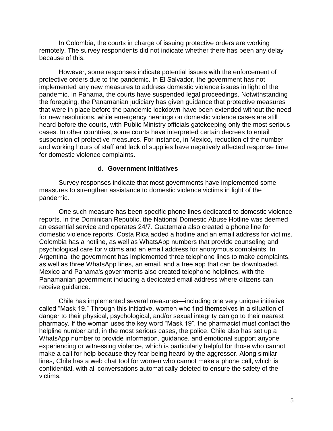In Colombia, the courts in charge of issuing protective orders are working remotely. The survey respondents did not indicate whether there has been any delay because of this.

However, some responses indicate potential issues with the enforcement of protective orders due to the pandemic. In El Salvador, the government has not implemented any new measures to address domestic violence issues in light of the pandemic. In Panama, the courts have suspended legal proceedings. Notwithstanding the foregoing, the Panamanian judiciary has given guidance that protective measures that were in place before the pandemic lockdown have been extended without the need for new resolutions, while emergency hearings on domestic violence cases are still heard before the courts, with Public Ministry officials gatekeeping only the most serious cases. In other countries, some courts have interpreted certain decrees to entail suspension of protective measures. For instance, in Mexico, reduction of the number and working hours of staff and lack of supplies have negatively affected response time for domestic violence complaints.

## d. **Government Initiatives**

Survey responses indicate that most governments have implemented some measures to strengthen assistance to domestic violence victims in light of the pandemic.

One such measure has been specific phone lines dedicated to domestic violence reports. In the Dominican Republic, the National Domestic Abuse Hotline was deemed an essential service and operates 24/7. Guatemala also created a phone line for domestic violence reports. Costa Rica added a hotline and an email address for victims. Colombia has a hotline, as well as WhatsApp numbers that provide counseling and psychological care for victims and an email address for anonymous complaints. In Argentina, the government has implemented three telephone lines to make complaints, as well as three WhatsApp lines, an email, and a free app that can be downloaded. Mexico and Panama's governments also created telephone helplines, with the Panamanian government including a dedicated email address where citizens can receive guidance.

Chile has implemented several measures—including one very unique initiative called "Mask 19." Through this initiative, women who find themselves in a situation of danger to their physical, psychological, and/or sexual integrity can go to their nearest pharmacy. If the woman uses the key word "Mask 19", the pharmacist must contact the helpline number and, in the most serious cases, the police. Chile also has set up a WhatsApp number to provide information, guidance, and emotional support anyone experiencing or witnessing violence, which is particularly helpful for those who cannot make a call for help because they fear being heard by the aggressor. Along similar lines, Chile has a web chat tool for women who cannot make a phone call, which is confidential, with all conversations automatically deleted to ensure the safety of the victims.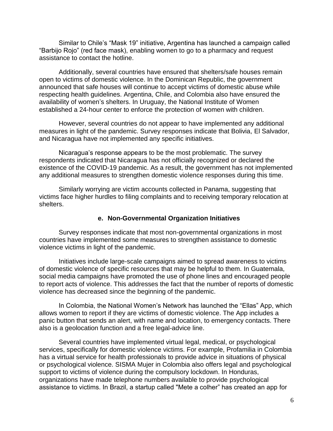Similar to Chile's "Mask 19" initiative, Argentina has launched a campaign called "Barbijo Rojo" (red face mask), enabling women to go to a pharmacy and request assistance to contact the hotline.

Additionally, several countries have ensured that shelters/safe houses remain open to victims of domestic violence. In the Dominican Republic, the government announced that safe houses will continue to accept victims of domestic abuse while respecting health guidelines. Argentina, Chile, and Colombia also have ensured the availability of women's shelters. In Uruguay, the National Institute of Women established a 24-hour center to enforce the protection of women with children.

However, several countries do not appear to have implemented any additional measures in light of the pandemic. Survey responses indicate that Bolivia, El Salvador, and Nicaragua have not implemented any specific initiatives.

Nicaragua's response appears to be the most problematic. The survey respondents indicated that Nicaragua has not officially recognized or declared the existence of the COVID-19 pandemic. As a result, the government has not implemented any additional measures to strengthen domestic violence responses during this time.

Similarly worrying are victim accounts collected in Panama, suggesting that victims face higher hurdles to filing complaints and to receiving temporary relocation at shelters.

## **e. Non-Governmental Organization Initiatives**

Survey responses indicate that most non-governmental organizations in most countries have implemented some measures to strengthen assistance to domestic violence victims in light of the pandemic.

Initiatives include large-scale campaigns aimed to spread awareness to victims of domestic violence of specific resources that may be helpful to them. In Guatemala, social media campaigns have promoted the use of phone lines and encouraged people to report acts of violence. This addresses the fact that the number of reports of domestic violence has decreased since the beginning of the pandemic.

In Colombia, the National Women's Network has launched the "Ellas" App, which allows women to report if they are victims of domestic violence. The App includes a panic button that sends an alert, with name and location, to emergency contacts. There also is a geolocation function and a free legal-advice line.

Several countries have implemented virtual legal, medical, or psychological services, specifically for domestic violence victims. For example, Profamilia in Colombia has a virtual service for health professionals to provide advice in situations of physical or psychological violence. SISMA Mujer in Colombia also offers legal and psychological support to victims of violence during the compulsory lockdown. In Honduras, organizations have made telephone numbers available to provide psychological assistance to victims. In Brazil, a startup called "Mete a colher" has created an app for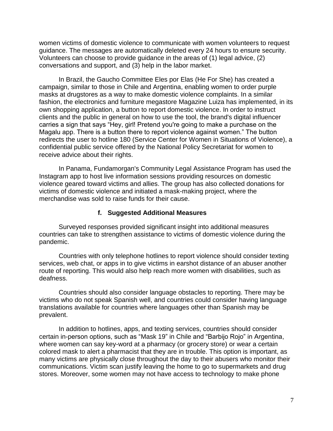women victims of domestic violence to communicate with women volunteers to request guidance. The messages are automatically deleted every 24 hours to ensure security. Volunteers can choose to provide guidance in the areas of (1) legal advice, (2) conversations and support, and (3) help in the labor market.

In Brazil, the Gaucho Committee Eles por Elas (He For She) has created a campaign, similar to those in Chile and Argentina, enabling women to order purple masks at drugstores as a way to make domestic violence complaints. In a similar fashion, the electronics and furniture megastore Magazine Luiza has implemented, in its own shopping application, a button to report domestic violence. In order to instruct clients and the public in general on how to use the tool, the brand's digital influencer carries a sign that says "Hey, girl! Pretend you're going to make a purchase on the Magalu app. There is a button there to report violence against women." The button redirects the user to hotline 180 (Service Center for Women in Situations of Violence), a confidential public service offered by the National Policy Secretariat for women to receive advice about their rights.

In Panama, Fundamorgan's Community Legal Assistance Program has used the Instagram app to host live information sessions providing resources on domestic violence geared toward victims and allies. The group has also collected donations for victims of domestic violence and initiated a mask-making project, where the merchandise was sold to raise funds for their cause.

## **f. Suggested Additional Measures**

Surveyed responses provided significant insight into additional measures countries can take to strengthen assistance to victims of domestic violence during the pandemic.

Countries with only telephone hotlines to report violence should consider texting services, web chat, or apps in to give victims in earshot distance of an abuser another route of reporting. This would also help reach more women with disabilities, such as deafness.

Countries should also consider language obstacles to reporting. There may be victims who do not speak Spanish well, and countries could consider having language translations available for countries where languages other than Spanish may be prevalent.

In addition to hotlines, apps, and texting services, countries should consider certain in-person options, such as "Mask 19" in Chile and "Barbijo Rojo" in Argentina, where women can say key-word at a pharmacy (or grocery store) or wear a certain colored mask to alert a pharmacist that they are in trouble. This option is important, as many victims are physically close throughout the day to their abusers who monitor their communications. Victim scan justify leaving the home to go to supermarkets and drug stores. Moreover, some women may not have access to technology to make phone